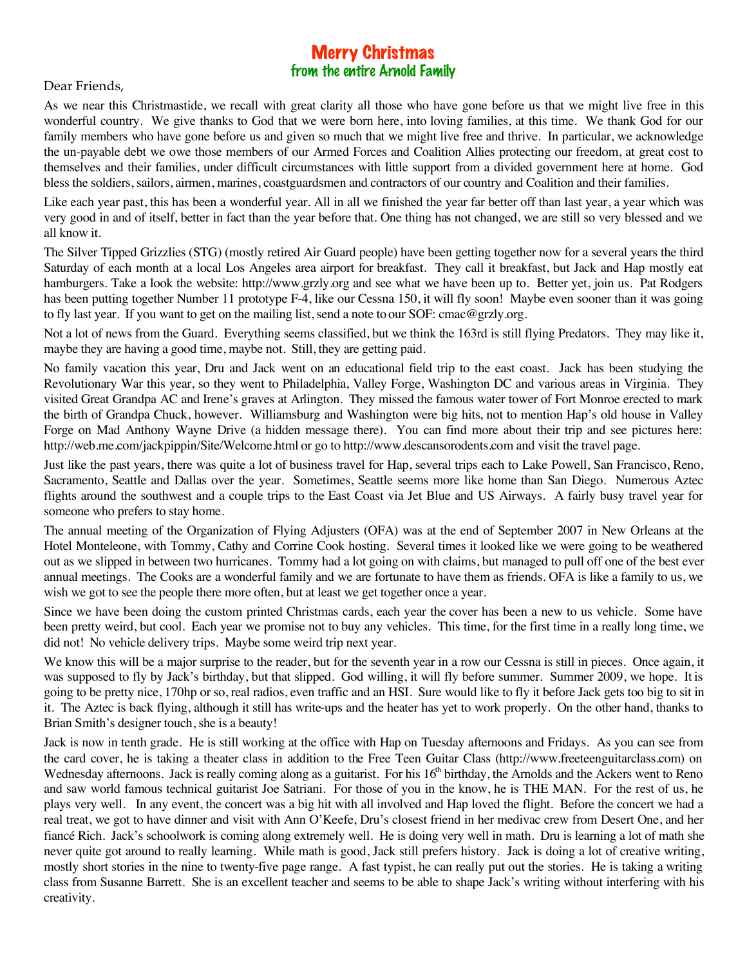## Merry Christmas from the entire Arnold Family

Dear Friends,

As we near this Christmastide, we recall with great clarity all those who have gone before us that we might live free in this wonderful country. We give thanks to God that we were born here, into loving families, at this time. We thank God for our family members who have gone before us and given so much that we might live free and thrive. In particular, we acknowledge the un-payable debt we owe those members of our Armed Forces and Coalition Allies protecting our freedom, at great cost to themselves and their families, under difficult circumstances with little support from a divided government here at home. God bless the soldiers, sailors, airmen, marines, coastguardsmen and contractors of our country and Coalition and their families.

Like each year past, this has been a wonderful year. All in all we finished the year far better off than last year, a year which was very good in and of itself, better in fact than the year before that. One thing has not changed, we are still so very blessed and we all know it.

The Silver Tipped Grizzlies (STG) (mostly retired Air Guard people) have been getting together now for a several years the third Saturday of each month at a local Los Angeles area airport for breakfast. They call it breakfast, but Jack and Hap mostly eat hamburgers. Take a look the website: http://www.grzly.org and see what we have been up to. Better yet, join us. Pat Rodgers has been putting together Number 11 prototype F-4, like our Cessna 150, it will fly soon! Maybe even sooner than it was going to fly last year. If you want to get on the mailing list, send a note to our SOF: cmac@grzly.org.

Not a lot of news from the Guard. Everything seems classified, but we think the 163rd is still flying Predators. They may like it, maybe they are having a good time, maybe not. Still, they are getting paid.

No family vacation this year, Dru and Jack went on an educational field trip to the east coast. Jack has been studying the Revolutionary War this year, so they went to Philadelphia, Valley Forge, Washington DC and various areas in Virginia. They visited Great Grandpa AC and Irene's graves at Arlington. They missed the famous water tower of Fort Monroe erected to mark the birth of Grandpa Chuck, however. Williamsburg and Washington were big hits, not to mention Hap's old house in Valley Forge on Mad Anthony Wayne Drive (a hidden message there). You can find more about their trip and see pictures here: http://web.me.com/jackpippin/Site/Welcome.html or go to http://www.descansorodents.com and visit the travel page.

Just like the past years, there was quite a lot of business travel for Hap, several trips each to Lake Powell, San Francisco, Reno, Sacramento, Seattle and Dallas over the year. Sometimes, Seattle seems more like home than San Diego. Numerous Aztec flights around the southwest and a couple trips to the East Coast via Jet Blue and US Airways. A fairly busy travel year for someone who prefers to stay home.

The annual meeting of the Organization of Flying Adjusters (OFA) was at the end of September 2007 in New Orleans at the Hotel Monteleone, with Tommy, Cathy and Corrine Cook hosting. Several times it looked like we were going to be weathered out as we slipped in between two hurricanes. Tommy had a lot going on with claims, but managed to pull off one of the best ever annual meetings. The Cooks are a wonderful family and we are fortunate to have them as friends. OFA is like a family to us, we wish we got to see the people there more often, but at least we get together once a year.

Since we have been doing the custom printed Christmas cards, each year the cover has been a new to us vehicle. Some have been pretty weird, but cool. Each year we promise not to buy any vehicles. This time, for the first time in a really long time, we did not! No vehicle delivery trips. Maybe some weird trip next year.

We know this will be a major surprise to the reader, but for the seventh year in a row our Cessna is still in pieces. Once again, it was supposed to fly by Jack's birthday, but that slipped. God willing, it will fly before summer. Summer 2009, we hope. It is going to be pretty nice, 170hp or so, real radios, even traffic and an HSI. Sure would like to fly it before Jack gets too big to sit in it. The Aztec is back flying, although it still has write-ups and the heater has yet to work properly. On the other hand, thanks to Brian Smith's designer touch, she is a beauty!

Jack is now in tenth grade. He is still working at the office with Hap on Tuesday afternoons and Fridays. As you can see from the card cover, he is taking a theater class in addition to the Free Teen Guitar Class (http://www.freeteenguitarclass.com) on Wednesday afternoons. Jack is really coming along as a guitarist. For his 16<sup>th</sup> birthday, the Arnolds and the Ackers went to Reno and saw world famous technical guitarist Joe Satriani. For those of you in the know, he is THE MAN. For the rest of us, he plays very well. In any event, the concert was a big hit with all involved and Hap loved the flight. Before the concert we had a real treat, we got to have dinner and visit with Ann O'Keefe, Dru's closest friend in her medivac crew from Desert One, and her fiancé Rich. Jack's schoolwork is coming along extremely well. He is doing very well in math. Dru is learning a lot of math she never quite got around to really learning. While math is good, Jack still prefers history. Jack is doing a lot of creative writing, mostly short stories in the nine to twenty-five page range. A fast typist, he can really put out the stories. He is taking a writing class from Susanne Barrett. She is an excellent teacher and seems to be able to shape Jack's writing without interfering with his creativity.